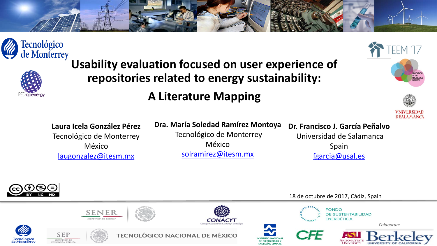





**Usability evaluation focused on user experience of repositories related to energy sustainability:** 

### **A Literature Mapping**



**Laura Icela González Pérez** Tecnológico de Monterrey México [laugonzalez@itesm.mx](mailto:laugonzalez@itesm.mx)

**Dra. María Soledad Ramírez Montoya** Tecnológico de Monterrey México [solramirez@itesm.mx](mailto:solramirez@itesm.mx)

#### **Dr. Francisco J. García Peñalvo**

Universidad de Salamanca Spain [fgarcia@usal.es](mailto:fgarcia@usal.es)



18 de octubre de 2017, Cádiz, Spain

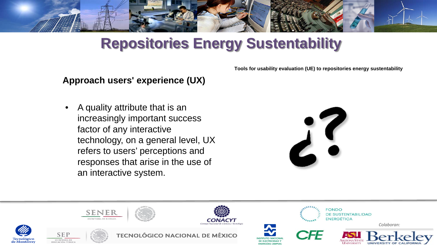

# **Repositories Energy Sustentability**

**Tools for usability evaluation (UE) to repositories energy sustentability**

### **Approach users' experience (UX)**

• A quality attribute that is an increasingly important success factor of any interactive technology, on a general level, UX refers to users' perceptions and responses that arise in the use of an interactive system.



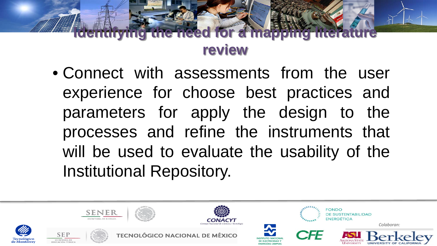## **Inced for a map review**

• Connect with assessments from the user experience for choose best practices and parameters for apply the design to the processes and refine the instruments that will be used to evaluate the usability of the Institutional Repository.

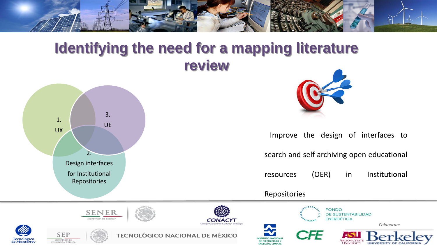

### **Identifying the need for a mapping literature review**



Tecnológico<br>de Monterrey



Improve the design of interfaces to

search and self archiving open educational

resources (OER) in Institutional

Repositories

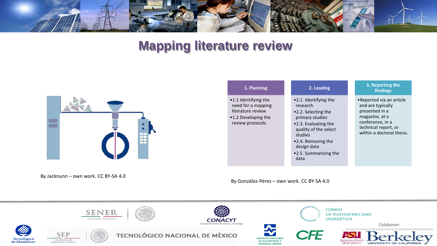

### **Mapping literature review**



By Jacknunn – own work. CC BY-SA 4.0

#### **1. Planning**

•1.1 Identifying the need for a mapping literature review •1.2 Developing the review protocols

#### **2. Leading**

- •2.1. Identifying the research
- •2.2. Selecting the primary studies
- •2.3. Evaluating the quality of the select studies
- •2.4. Removing the design data
- •2.5. Summarizing the data

#### **3. Reporting the findings**

•Reported via an article and are typically presented in a magazine, at a conference, in a technical report, or within a doctoral thesis.

By González-Pérez – own work. CC BY-SA 4.0

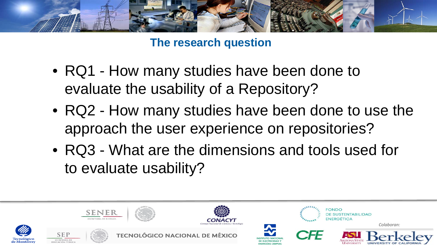

**The research question**

- RQ1 How many studies have been done to evaluate the usability of a Repository?
- RQ2 How many studies have been done to use the approach the user experience on repositories?
- RQ3 What are the dimensions and tools used for to evaluate usability?

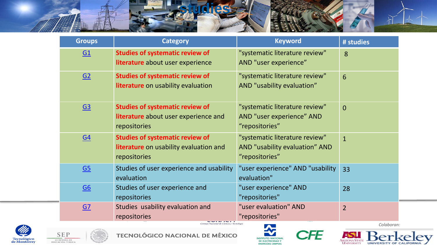

| <b>Groups</b>    | <b>Category</b>                                                                                  | <b>Keyword</b>                                                                     | # studies       |
|------------------|--------------------------------------------------------------------------------------------------|------------------------------------------------------------------------------------|-----------------|
| $\underline{G1}$ | <b>Studies of systematic review of</b><br>literature about user experience                       | "systematic literature review"<br>AND "user experience"                            | 8               |
| G2               | <b>Studies of systematic review of</b><br>literature on usability evaluation                     | "systematic literature review"<br>AND "usability evaluation"                       | $6\overline{6}$ |
| G <sub>3</sub>   | <b>Studies of systematic review of</b><br>literature about user experience and<br>repositories   | "systematic literature review"<br>AND "user experience" AND<br>"repositories"      | $\overline{0}$  |
| $\underline{G4}$ | <b>Studies of systematic review of</b><br>literature on usability evaluation and<br>repositories | "systematic literature review"<br>AND "usability evaluation" AND<br>"repositories" | $\mathbf{1}$    |
| $\underline{G5}$ | Studies of user experience and usability<br>evaluation                                           | "user experience" AND "usability<br>evaluation"                                    | 33              |
| $\underline{G6}$ | Studies of user experience and<br>repositories                                                   | "user experience" AND<br>"repositories"                                            | 28              |
| GZ               | Studies usability evaluation and<br>repositories                                                 | "user evaluation" AND<br>"repositories"                                            | $\overline{2}$  |







CFE

*Colaboran:* 

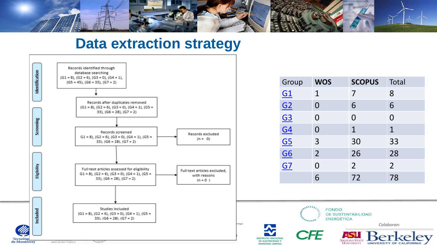

### **Data extraction strategy**



| Group                            | <b>WOS</b>     | <b>SCOPUS</b>  | Total          |
|----------------------------------|----------------|----------------|----------------|
| $\underline{G1}$                 | 1              | 7              | 8              |
|                                  | $\Omega$       | 6              | 6              |
| G2<br>G3<br>G4<br>G5<br>G6<br>G7 | 0              | 0              | $\Omega$       |
|                                  | 0              | $\mathbf{1}$   | $\mathbf 1$    |
|                                  | 3              | 30             | 33             |
|                                  | $\overline{2}$ | 26             | 28             |
|                                  | 0              | 2 <sup>1</sup> | 2 <sup>1</sup> |
|                                  | 6              | 72             | 78             |



JAPANI

**FONDO** DE SUSTENTABILIDAD **ENERGÉTICA** 

*Colaboran:* 

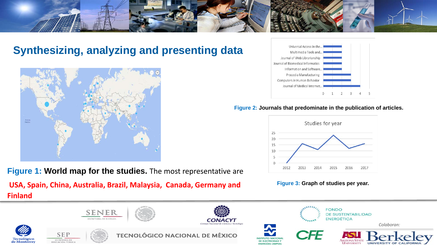

### **Synthesizing, analyzing and presenting data**



**Figure 1: World map for the studies.** The most representative are **USA, Spain, China, Australia, Brazil, Malaysia, Canada, Germany and Finland** 



#### **Figure 2: Journals that predominate in the publication of articles.**



#### **Figure 3: Graph of studies per year.**

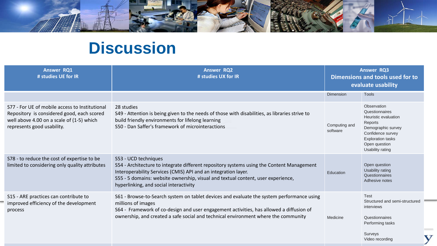

# **Discussion**

| <b>Answer RQ1</b><br># studies UE for IR                                                                                                                                | <b>Answer RQ2</b><br># studies UX for IR                                                                                                                                                                                                                                                                          | <b>Answer RQ3</b><br>Dimensions and tools used for to<br>evaluate usability |                                                                                                                                                                              |
|-------------------------------------------------------------------------------------------------------------------------------------------------------------------------|-------------------------------------------------------------------------------------------------------------------------------------------------------------------------------------------------------------------------------------------------------------------------------------------------------------------|-----------------------------------------------------------------------------|------------------------------------------------------------------------------------------------------------------------------------------------------------------------------|
|                                                                                                                                                                         |                                                                                                                                                                                                                                                                                                                   | <b>Dimension</b>                                                            | <b>Tools</b>                                                                                                                                                                 |
| S77 - For UE of mobile access to Institutional<br>Repository is considered good, each scored<br>well above 4.00 on a scale of (1-5) which<br>represents good usability. | 28 studies<br>S49 - Attention is being given to the needs of those with disabilities, as libraries strive to<br>build friendly environments for lifelong learning<br>S50 - Dan Saffer's framework of microinteractions                                                                                            | Computing and<br>software                                                   | Observation<br>Questionnaires<br>Heuristic evaluation<br>Reports<br>Demographic survey<br>Confidence survey<br><b>Exploration tasks</b><br>Open question<br>Usability rating |
| S78 - to reduce the cost of expertise to be<br>limited to considering only quality attributes                                                                           | S53 - UCD techniques<br>S54 - Architecture to integrate different repository systems using the Content Management<br>Interoperability Services (CMIS) API and an integration layer.<br>S55 - 5 domains: website ownership, visual and textual content, user experience,<br>hyperlinking, and social interactivity | Education                                                                   | Open question<br>Usability rating<br>Questionnaires<br>Adhesive notes                                                                                                        |
| S15 - ARE practices can contribute to<br>improved efficiency of the development<br>process                                                                              | S61 - Browse-to-Search system on tablet devices and evaluate the system performance using<br>millions of images<br>S64 - Framework of co-design and user engagement activities, has allowed a diffusion of<br>ownership, and created a safe social and technical environment where the community                  | Medicine                                                                    | Test<br>Structured and semi-structured<br>interviews<br>Questionnaires<br>Performing tasks<br>Surveys<br>Video recording                                                     |

У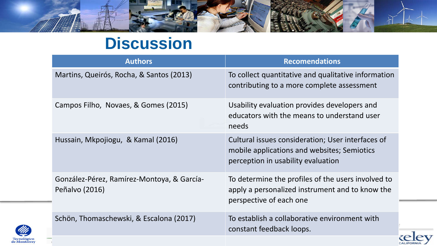

# **Discussion**

| <b>Authors</b>                                               | <b>Recomendations</b>                                                                                                                  |
|--------------------------------------------------------------|----------------------------------------------------------------------------------------------------------------------------------------|
| Martins, Queirós, Rocha, & Santos (2013)                     | To collect quantitative and qualitative information<br>contributing to a more complete assessment                                      |
| Campos Filho, Novaes, & Gomes (2015)                         | Usability evaluation provides developers and<br>educators with the means to understand user<br>needs                                   |
| Hussain, Mkpojiogu, & Kamal (2016)                           | Cultural issues consideration; User interfaces of<br>mobile applications and websites; Semiotics<br>perception in usability evaluation |
| González-Pérez, Ramírez-Montoya, & García-<br>Peñalvo (2016) | To determine the profiles of the users involved to<br>apply a personalized instrument and to know the<br>perspective of each one       |
| Schön, Thomaschewski, & Escalona (2017)                      | To establish a collaborative environment with<br>constant feedback loops.                                                              |
|                                                              |                                                                                                                                        |